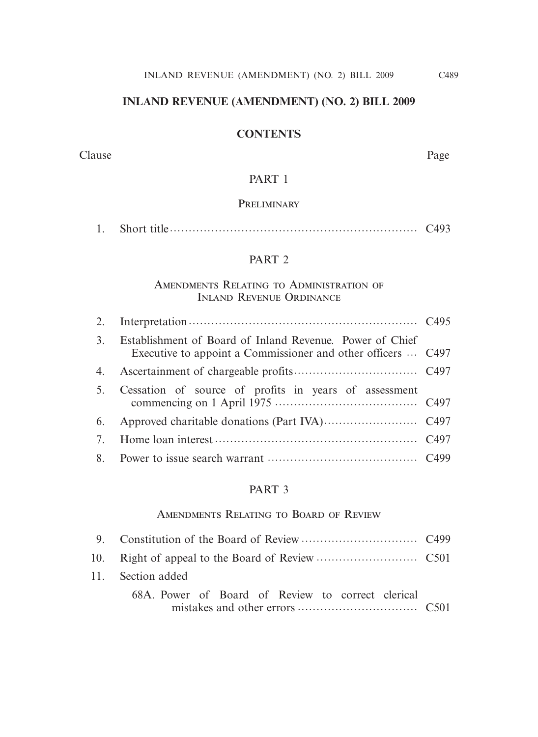## **INLAND REVENUE (AMENDMENT) (NO. 2) BILL 2009**

## **CONTENTS**

#### Clause Page

## PART 1

#### **PRELIMINARY**

## PART 2

## Amendments Relating to Administration of Inland Revenue Ordinance

| 3. | Establishment of Board of Inland Revenue. Power of Chief<br>Executive to appoint a Commissioner and other officers  C497 |  |
|----|--------------------------------------------------------------------------------------------------------------------------|--|
| 4. |                                                                                                                          |  |
| 5. | Cessation of source of profits in years of assessment                                                                    |  |
| 6. |                                                                                                                          |  |
|    |                                                                                                                          |  |
|    |                                                                                                                          |  |
|    |                                                                                                                          |  |

#### PART 3

## Amendments Relating to Board of Review

| 11. Section added                                 |  |
|---------------------------------------------------|--|
| 68A. Power of Board of Review to correct clerical |  |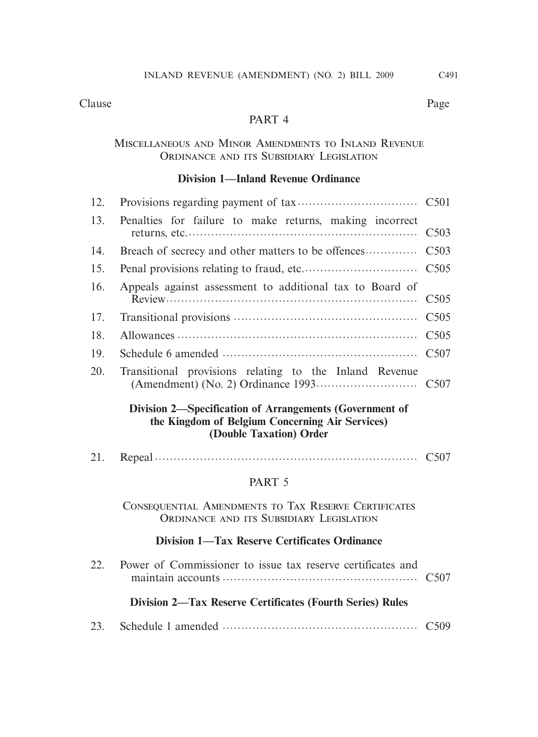## PART 4

#### Miscellaneous and Minor Amendments to Inland Revenue ORDINANCE AND ITS SUBSIDIARY LEGISLATION

## **Division 1—Inland Revenue Ordinance**

| 13.        | Penalties for failure to make returns, making incorrect  |  |
|------------|----------------------------------------------------------|--|
| 14.        |                                                          |  |
| 15.        |                                                          |  |
| 16.        | Appeals against assessment to additional tax to Board of |  |
| 17.        |                                                          |  |
| 18.        |                                                          |  |
| 19.        |                                                          |  |
| <b>20.</b> | Transitional provisions relating to the Inland Revenue   |  |

## **Division 2—Specification of Arrangements (Government of the Kingdom of Belgium Concerning Air Services) (Double Taxation) Order**

21. Repeal  $\cdots$   $\cdots$   $\cdots$   $\cdots$   $\cdots$   $\cdots$   $\cdots$   $\cdots$   $\cdots$   $\cdots$   $\cdots$   $\cdots$  C507

## PART 5

Consequential Amendments to Tax Reserve Certificates ORDINANCE AND ITS SUBSIDIARY LEGISLATION

## **Division 1—Tax Reserve Certificates Ordinance**

| 22. | Power of Commissioner to issue tax reserve certificates and      |  |
|-----|------------------------------------------------------------------|--|
|     | <b>Division 2—Tax Reserve Certificates (Fourth Series) Rules</b> |  |
|     |                                                                  |  |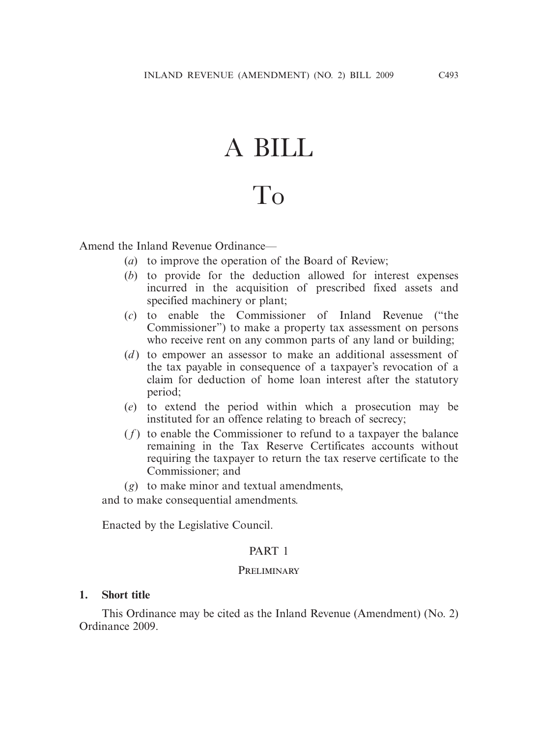# A BILL

## To

Amend the Inland Revenue Ordinance—

- (*a*) to improve the operation of the Board of Review;
- (*b*) to provide for the deduction allowed for interest expenses incurred in the acquisition of prescribed fixed assets and specified machinery or plant;
- (*c*) to enable the Commissioner of Inland Revenue ("the Commissioner") to make a property tax assessment on persons who receive rent on any common parts of any land or building;
- (*d*) to empower an assessor to make an additional assessment of the tax payable in consequence of a taxpayer's revocation of a claim for deduction of home loan interest after the statutory period;
- (*e*) to extend the period within which a prosecution may be instituted for an offence relating to breach of secrecy;
- $(f)$  to enable the Commissioner to refund to a taxpayer the balance remaining in the Tax Reserve Certificates accounts without requiring the taxpayer to return the tax reserve certificate to the Commissioner; and
- (*g*) to make minor and textual amendments,

and to make consequential amendments.

Enacted by the Legislative Council.

#### PART 1

#### PRELIMINARY

#### **1. Short title**

 This Ordinance may be cited as the Inland Revenue (Amendment) (No. 2) Ordinance 2009.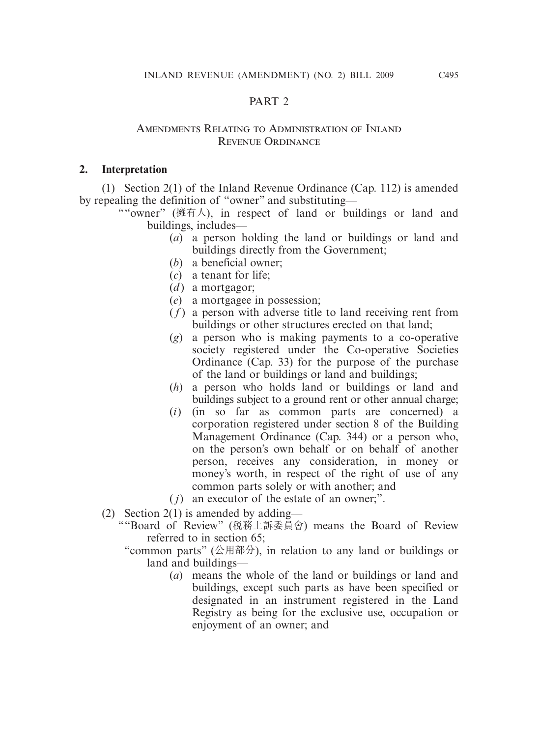## PART 2

#### Amendments Relating to Administration of Inland Revenue Ordinance

## **2. Interpretation**

 (1) Section 2(1) of the Inland Revenue Ordinance (Cap. 112) is amended by repealing the definition of "owner" and substituting—

""owner" (擁有人), in respect of land or buildings or land and buildings, includes—

- (*a*) a person holding the land or buildings or land and buildings directly from the Government;
- (*b*) a beneficial owner;
- (*c*) a tenant for life;
- (*d*) a mortgagor;
- (*e*) a mortgagee in possession;
- $(f)$  a person with adverse title to land receiving rent from buildings or other structures erected on that land;
- (*g*) a person who is making payments to a co-operative society registered under the Co-operative Societies Ordinance (Cap. 33) for the purpose of the purchase of the land or buildings or land and buildings;
- (*h*) a person who holds land or buildings or land and buildings subject to a ground rent or other annual charge;
- (*i*) (in so far as common parts are concerned) a corporation registered under section 8 of the Building Management Ordinance (Cap. 344) or a person who, on the person's own behalf or on behalf of another person, receives any consideration, in money or money's worth, in respect of the right of use of any common parts solely or with another; and
- ( *j*) an executor of the estate of an owner;".
- (2) Section 2(1) is amended by adding—
	- ""Board of Review" (稅務上訴委員會) means the Board of Review referred to in section 65;
		- "common parts" (公用部分), in relation to any land or buildings or land and buildings—
			- (*a*) means the whole of the land or buildings or land and buildings, except such parts as have been specified or designated in an instrument registered in the Land Registry as being for the exclusive use, occupation or enjoyment of an owner; and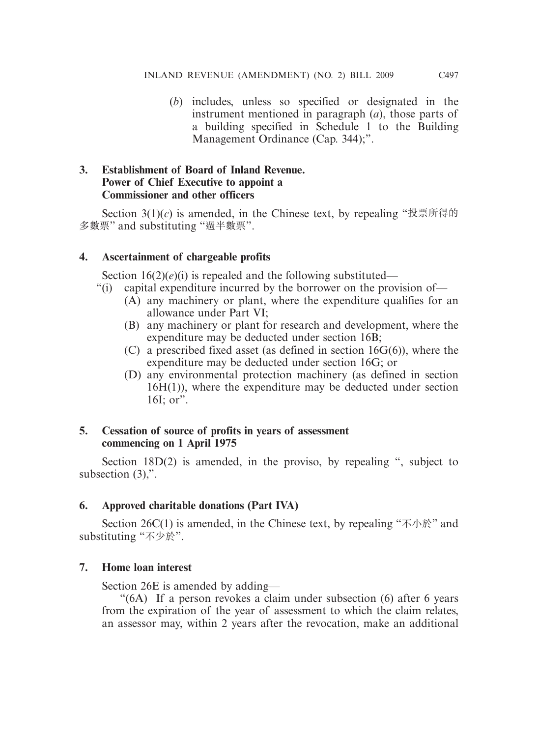(*b*) includes, unless so specified or designated in the instrument mentioned in paragraph (*a*), those parts of a building specified in Schedule 1 to the Building Management Ordinance (Cap. 344);".

## **3. Establishment of Board of Inland Revenue. Power of Chief Executive to appoint a Commissioner and other officers**

Section  $3(1)(c)$  is amended, in the Chinese text, by repealing "投票所得的 多數票" and substituting "過半數票".

## **4. Ascertainment of chargeable profits**

Section  $16(2)(e)(i)$  is repealed and the following substituted—

- "(i) capital expenditure incurred by the borrower on the provision of—
	- (A) any machinery or plant, where the expenditure qualifies for an allowance under Part VI;
	- (B) any machinery or plant for research and development, where the expenditure may be deducted under section 16B;
	- (C) a prescribed fixed asset (as defined in section 16G(6)), where the expenditure may be deducted under section 16G; or
	- (D) any environmental protection machinery (as defined in section 16H(1)), where the expenditure may be deducted under section 16I; or".

## **5. Cessation of source of profits in years of assessment commencing on 1 April 1975**

 Section 18D(2) is amended, in the proviso, by repealing ", subject to subsection  $(3)$ ,".

## **6. Approved charitable donations (Part IVA)**

Section 26C(1) is amended, in the Chinese text, by repealing " $\overline{\mathcal{F}}$   $\wedge$   $\mathbb{R}$ " and substituting "不少於".

## **7. Home loan interest**

Section 26E is amended by adding—

 "(6A) If a person revokes a claim under subsection (6) after 6 years from the expiration of the year of assessment to which the claim relates, an assessor may, within 2 years after the revocation, make an additional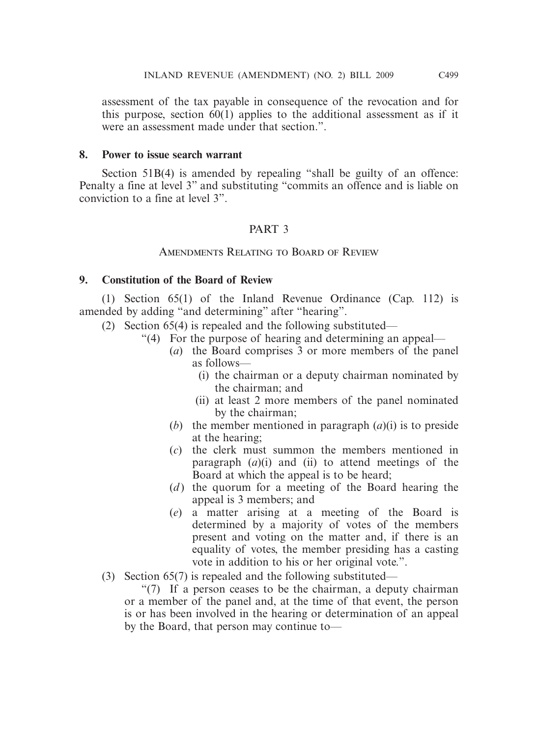assessment of the tax payable in consequence of the revocation and for this purpose, section 60(1) applies to the additional assessment as if it were an assessment made under that section.".

#### **8. Power to issue search warrant**

Section 51B(4) is amended by repealing "shall be guilty of an offence: Penalty a fine at level 3" and substituting "commits an offence and is liable on conviction to a fine at level 3".

## PART 3

#### Amendments Relating to Board of Review

#### **9. Constitution of the Board of Review**

 (1) Section 65(1) of the Inland Revenue Ordinance (Cap. 112) is amended by adding "and determining" after "hearing".

- (2) Section 65(4) is repealed and the following substituted—
	- "(4) For the purpose of hearing and determining an appeal—
		- (*a*) the Board comprises 3 or more members of the panel as follows—
			- (i) the chairman or a deputy chairman nominated by the chairman; and
			- (ii) at least 2 more members of the panel nominated by the chairman;
		- (*b*) the member mentioned in paragraph (*a*)(i) is to preside at the hearing;
		- (*c*) the clerk must summon the members mentioned in paragraph (*a*)(i) and (ii) to attend meetings of the Board at which the appeal is to be heard;
		- (*d*) the quorum for a meeting of the Board hearing the appeal is 3 members; and
		- (*e*) a matter arising at a meeting of the Board is determined by a majority of votes of the members present and voting on the matter and, if there is an equality of votes, the member presiding has a casting vote in addition to his or her original vote.".
- (3) Section 65(7) is repealed and the following substituted—

 "(7) If a person ceases to be the chairman, a deputy chairman or a member of the panel and, at the time of that event, the person is or has been involved in the hearing or determination of an appeal by the Board, that person may continue to—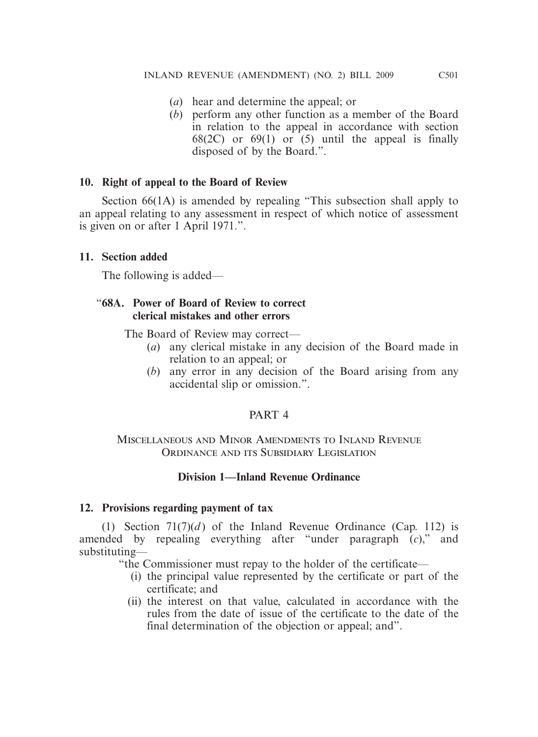- (*a*) hear and determine the appeal; or
- (*b*) perform any other function as a member of the Board in relation to the appeal in accordance with section 68(2C) or 69(1) or  $(5)$  until the appeal is finally disposed of by the Board.".

## **10. Right of appeal to the Board of Review**

 Section 66(1A) is amended by repealing "This subsection shall apply to an appeal relating to any assessment in respect of which notice of assessment is given on or after 1 April 1971.".

## **11. Section added**

The following is added—

#### "**68A. Power of Board of Review to correct clerical mistakes and other errors**

The Board of Review may correct—

- (*a*) any clerical mistake in any decision of the Board made in relation to an appeal; or
- (*b*) any error in any decision of the Board arising from any accidental slip or omission.".

#### PART 4

## Miscellaneous and Minor Amendments to Inland Revenue ORDINANCE AND ITS SUBSIDIARY LEGISLATION

## **Division 1—Inland Revenue Ordinance**

#### **12. Provisions regarding payment of tax**

(1) Section  $71(7)(d)$  of the Inland Revenue Ordinance (Cap. 112) is amended by repealing everything after "under paragraph (*c*)," and substituting—

"the Commissioner must repay to the holder of the certificate—

- (i) the principal value represented by the certificate or part of the certificate; and
- (ii) the interest on that value, calculated in accordance with the rules from the date of issue of the certificate to the date of the final determination of the objection or appeal; and".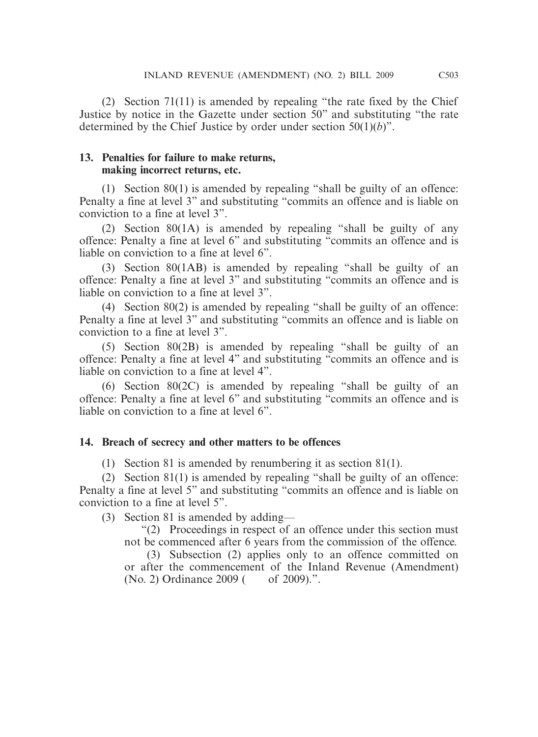(2) Section 71(11) is amended by repealing "the rate fixed by the Chief Justice by notice in the Gazette under section 50" and substituting "the rate determined by the Chief Justice by order under section 50(1)(*b*)".

## **13. Penalties for failure to make returns, making incorrect returns, etc.**

 (1) Section 80(1) is amended by repealing "shall be guilty of an offence: Penalty a fine at level 3" and substituting "commits an offence and is liable on conviction to a fine at level 3".

 (2) Section 80(1A) is amended by repealing "shall be guilty of any offence: Penalty a fine at level 6" and substituting "commits an offence and is liable on conviction to a fine at level 6".

 (3) Section 80(1AB) is amended by repealing "shall be guilty of an offence: Penalty a fine at level 3" and substituting "commits an offence and is liable on conviction to a fine at level 3".

 (4) Section 80(2) is amended by repealing "shall be guilty of an offence: Penalty a fine at level 3" and substituting "commits an offence and is liable on conviction to a fine at level 3".

 (5) Section 80(2B) is amended by repealing "shall be guilty of an offence: Penalty a fine at level 4" and substituting "commits an offence and is liable on conviction to a fine at level 4".

 (6) Section 80(2C) is amended by repealing "shall be guilty of an offence: Penalty a fine at level 6" and substituting "commits an offence and is liable on conviction to a fine at level 6".

## **14. Breach of secrecy and other matters to be offences**

(1) Section 81 is amended by renumbering it as section 81(1).

 (2) Section 81(1) is amended by repealing "shall be guilty of an offence: Penalty a fine at level 5" and substituting "commits an offence and is liable on conviction to a fine at level 5".

(3) Section 81 is amended by adding—

 "(2) Proceedings in respect of an offence under this section must not be commenced after 6 years from the commission of the offence.

 (3) Subsection (2) applies only to an offence committed on or after the commencement of the Inland Revenue (Amendment) (No. 2) Ordinance 2009 ( of 2009).".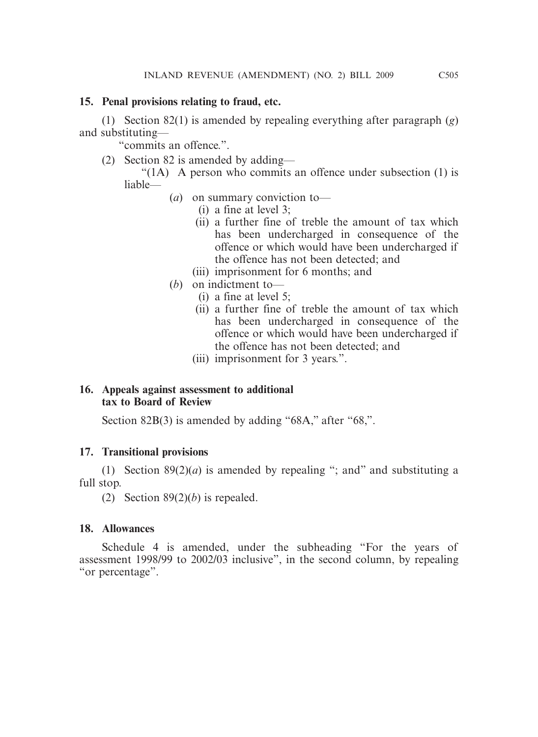## **15. Penal provisions relating to fraud, etc.**

 (1) Section 82(1) is amended by repealing everything after paragraph (*g*) and substituting—

"commits an offence.".

(2) Section 82 is amended by adding—

" $(1)$  A person who commits an offence under subsection  $(1)$  is liable—

- (*a*) on summary conviction to—
	- (i) a fine at level 3;
	- (ii) a further fine of treble the amount of tax which has been undercharged in consequence of the offence or which would have been undercharged if the offence has not been detected; and
	- (iii) imprisonment for 6 months; and
- (*b*) on indictment to—
	- (i) a fine at level 5;
	- (ii) a further fine of treble the amount of tax which has been undercharged in consequence of the offence or which would have been undercharged if the offence has not been detected; and
	- (iii) imprisonment for 3 years.".

## **16. Appeals against assessment to additional tax to Board of Review**

Section 82B(3) is amended by adding "68A," after "68,".

## **17. Transitional provisions**

(1) Section  $89(2)(a)$  is amended by repealing "; and " and substituting a full stop.

(2) Section 89(2)(*b*) is repealed.

## **18. Allowances**

 Schedule 4 is amended, under the subheading "For the years of assessment 1998/99 to 2002/03 inclusive", in the second column, by repealing "or percentage".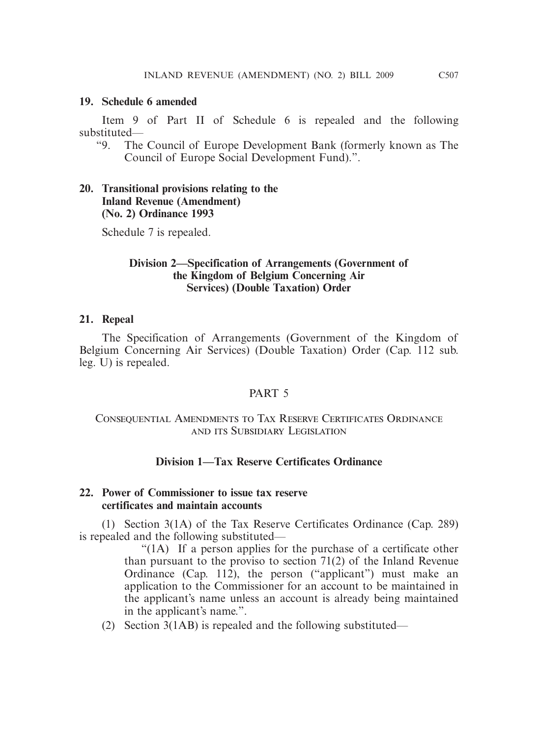#### **19. Schedule 6 amended**

 Item 9 of Part II of Schedule 6 is repealed and the following substituted—

"9. The Council of Europe Development Bank (formerly known as The Council of Europe Social Development Fund).".

#### **20. Transitional provisions relating to the Inland Revenue (Amendment) (No. 2) Ordinance 1993**

Schedule 7 is repealed.

#### **Division 2—Specification of Arrangements (Government of the Kingdom of Belgium Concerning Air Services) (Double Taxation) Order**

#### **21. Repeal**

 The Specification of Arrangements (Government of the Kingdom of Belgium Concerning Air Services) (Double Taxation) Order (Cap. 112 sub. leg. U) is repealed.

#### PART<sub>5</sub>

## Consequential Amendments to Tax Reserve Certificates Ordinance and its Subsidiary Legislation

#### **Division 1—Tax Reserve Certificates Ordinance**

#### **22. Power of Commissioner to issue tax reserve certificates and maintain accounts**

 (1) Section 3(1A) of the Tax Reserve Certificates Ordinance (Cap. 289) is repealed and the following substituted—

> "(1A) If a person applies for the purchase of a certificate other than pursuant to the proviso to section 71(2) of the Inland Revenue Ordinance (Cap. 112), the person ("applicant") must make an application to the Commissioner for an account to be maintained in the applicant's name unless an account is already being maintained in the applicant's name.".

(2) Section 3(1AB) is repealed and the following substituted—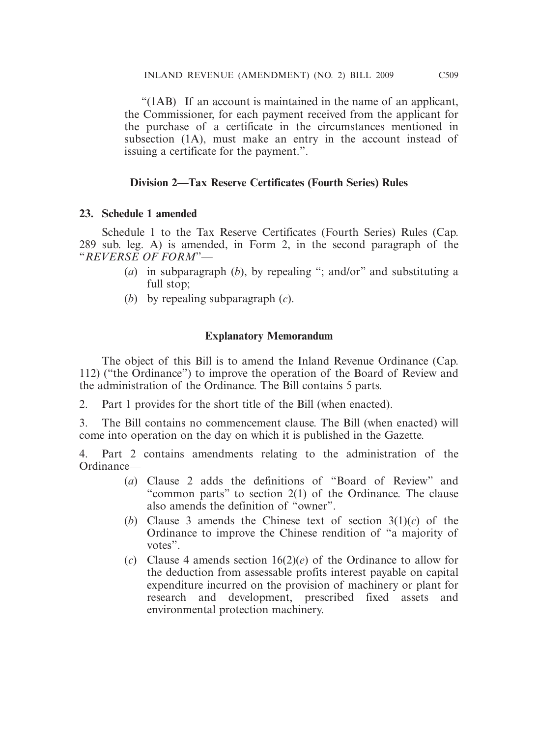"(1AB) If an account is maintained in the name of an applicant, the Commissioner, for each payment received from the applicant for the purchase of a certificate in the circumstances mentioned in subsection (1A), must make an entry in the account instead of issuing a certificate for the payment.".

## **Division 2—Tax Reserve Certificates (Fourth Series) Rules**

## **23. Schedule 1 amended**

 Schedule 1 to the Tax Reserve Certificates (Fourth Series) Rules (Cap. 289 sub. leg. A) is amended, in Form 2, in the second paragraph of the "*REVERSE OF FORM*"—

- (*a*) in subparagraph (*b*), by repealing "; and/or" and substituting a full stop;
- (*b*) by repealing subparagraph (*c*).

## **Explanatory Memorandum**

 The object of this Bill is to amend the Inland Revenue Ordinance (Cap. 112) ("the Ordinance") to improve the operation of the Board of Review and the administration of the Ordinance. The Bill contains 5 parts.

2. Part 1 provides for the short title of the Bill (when enacted).

3. The Bill contains no commencement clause. The Bill (when enacted) will come into operation on the day on which it is published in the Gazette.

4. Part 2 contains amendments relating to the administration of the Ordinance—

- (*a*) Clause 2 adds the definitions of "Board of Review" and "common parts" to section 2(1) of the Ordinance. The clause also amends the definition of "owner".
- (*b*) Clause 3 amends the Chinese text of section 3(1)(*c*) of the Ordinance to improve the Chinese rendition of "a majority of votes".
- (*c*) Clause 4 amends section 16(2)(*e*) of the Ordinance to allow for the deduction from assessable profits interest payable on capital expenditure incurred on the provision of machinery or plant for research and development, prescribed fixed assets and environmental protection machinery.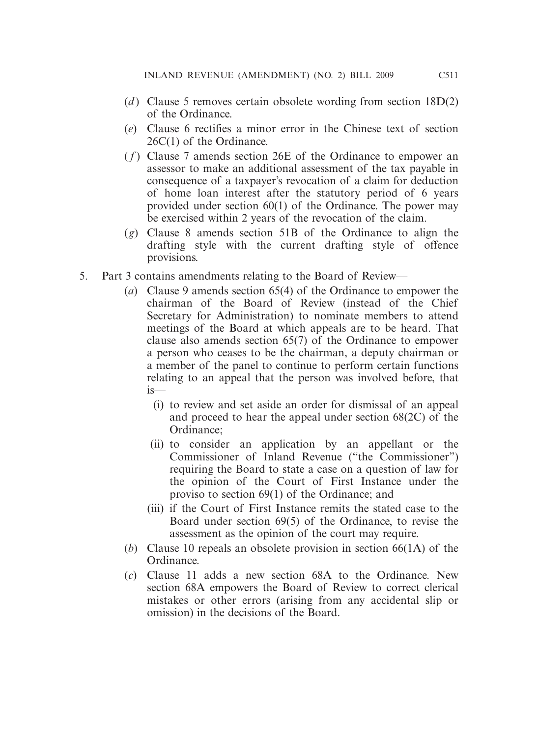- (*d*) Clause 5 removes certain obsolete wording from section 18D(2) of the Ordinance.
- (*e*) Clause 6 rectifies a minor error in the Chinese text of section 26C(1) of the Ordinance.
- ( *f* ) Clause 7 amends section 26E of the Ordinance to empower an assessor to make an additional assessment of the tax payable in consequence of a taxpayer's revocation of a claim for deduction of home loan interest after the statutory period of 6 years provided under section 60(1) of the Ordinance. The power may be exercised within 2 years of the revocation of the claim.
- (*g*) Clause 8 amends section 51B of the Ordinance to align the drafting style with the current drafting style of offence provisions.
- 5. Part 3 contains amendments relating to the Board of Review—
	- (*a*) Clause 9 amends section 65(4) of the Ordinance to empower the chairman of the Board of Review (instead of the Chief Secretary for Administration) to nominate members to attend meetings of the Board at which appeals are to be heard. That clause also amends section 65(7) of the Ordinance to empower a person who ceases to be the chairman, a deputy chairman or a member of the panel to continue to perform certain functions relating to an appeal that the person was involved before, that is—
		- (i) to review and set aside an order for dismissal of an appeal and proceed to hear the appeal under section 68(2C) of the Ordinance;
		- (ii) to consider an application by an appellant or the Commissioner of Inland Revenue ("the Commissioner") requiring the Board to state a case on a question of law for the opinion of the Court of First Instance under the proviso to section 69(1) of the Ordinance; and
		- (iii) if the Court of First Instance remits the stated case to the Board under section 69(5) of the Ordinance, to revise the assessment as the opinion of the court may require.
	- (*b*) Clause 10 repeals an obsolete provision in section 66(1A) of the Ordinance.
	- (*c*) Clause 11 adds a new section 68A to the Ordinance. New section 68A empowers the Board of Review to correct clerical mistakes or other errors (arising from any accidental slip or omission) in the decisions of the Board.